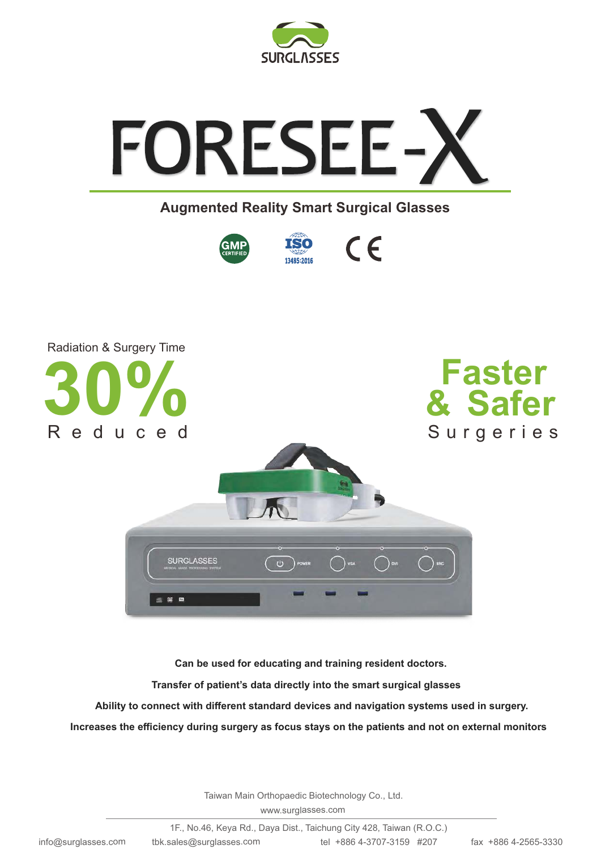



## **Augmented Reality Smart Surgical Glasses**







**Can be used for educating and training resident doctors.**

**Transfer of patient's data directly into the smart surgical glasses**.

**Ability to connect with different standard devices and navigation systems used in surgery.**

**Increases the efficiency during surgery as focus stays on the patients and not on external monitors**.

Taiwan Main Orthopaedic Biotechnology Co., Ltd.

www.surglasses.com